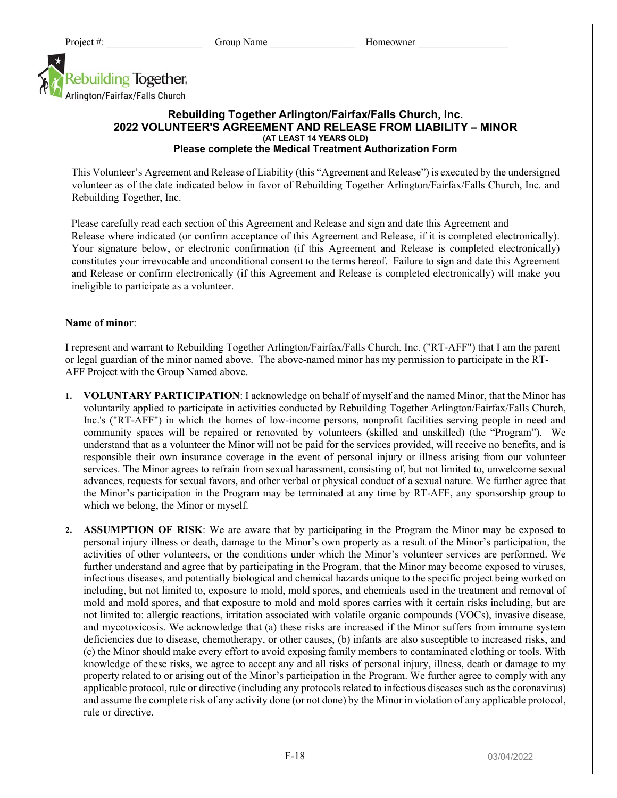

## **Rebuilding Together Arlington/Fairfax/Falls Church, Inc. 2022 VOLUNTEER'S AGREEMENT AND RELEASE FROM LIABILITY – MINOR (AT LEAST 14 YEARS OLD) Please complete the Medical Treatment Authorization Form**

This Volunteer's Agreement and Release of Liability (this "Agreement and Release") is executed by the undersigned volunteer as of the date indicated below in favor of Rebuilding Together Arlington/Fairfax/Falls Church, Inc. and Rebuilding Together, Inc.

Please carefully read each section of this Agreement and Release and sign and date this Agreement and Release where indicated (or confirm acceptance of this Agreement and Release, if it is completed electronically). Your signature below, or electronic confirmation (if this Agreement and Release is completed electronically) constitutes your irrevocable and unconditional consent to the terms hereof. Failure to sign and date this Agreement and Release or confirm electronically (if this Agreement and Release is completed electronically) will make you ineligible to participate as a volunteer.

## **Name of minor**:

I represent and warrant to Rebuilding Together Arlington/Fairfax/Falls Church, Inc. ("RT-AFF") that I am the parent or legal guardian of the minor named above. The above-named minor has my permission to participate in the RT-AFF Project with the Group Named above.

- **1. VOLUNTARY PARTICIPATION**: I acknowledge on behalf of myself and the named Minor, that the Minor has voluntarily applied to participate in activities conducted by Rebuilding Together Arlington/Fairfax/Falls Church, Inc.'s ("RT-AFF") in which the homes of low-income persons, nonprofit facilities serving people in need and community spaces will be repaired or renovated by volunteers (skilled and unskilled) (the "Program"). We understand that as a volunteer the Minor will not be paid for the services provided, will receive no benefits, and is responsible their own insurance coverage in the event of personal injury or illness arising from our volunteer services. The Minor agrees to refrain from sexual harassment, consisting of, but not limited to, unwelcome sexual advances, requests for sexual favors, and other verbal or physical conduct of a sexual nature. We further agree that the Minor's participation in the Program may be terminated at any time by RT-AFF, any sponsorship group to which we belong, the Minor or myself.
- **2. ASSUMPTION OF RISK**: We are aware that by participating in the Program the Minor may be exposed to personal injury illness or death, damage to the Minor's own property as a result of the Minor's participation, the activities of other volunteers, or the conditions under which the Minor's volunteer services are performed. We further understand and agree that by participating in the Program, that the Minor may become exposed to viruses, infectious diseases, and potentially biological and chemical hazards unique to the specific project being worked on including, but not limited to, exposure to mold, mold spores, and chemicals used in the treatment and removal of mold and mold spores, and that exposure to mold and mold spores carries with it certain risks including, but are not limited to: allergic reactions, irritation associated with volatile organic compounds (VOCs), invasive disease, and mycotoxicosis. We acknowledge that (a) these risks are increased if the Minor suffers from immune system deficiencies due to disease, chemotherapy, or other causes, (b) infants are also susceptible to increased risks, and (c) the Minor should make every effort to avoid exposing family members to contaminated clothing or tools. With knowledge of these risks, we agree to accept any and all risks of personal injury, illness, death or damage to my property related to or arising out of the Minor's participation in the Program. We further agree to comply with any applicable protocol, rule or directive (including any protocols related to infectious diseases such as the coronavirus) and assume the complete risk of any activity done (or not done) by the Minor in violation of any applicable protocol, rule or directive.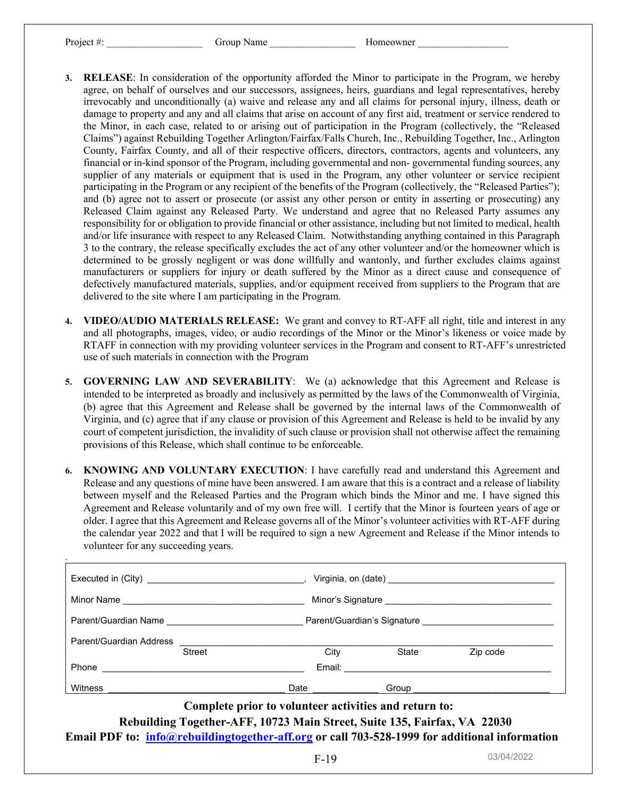.

- **3. RELEASE**: In consideration of the opportunity afforded the Minor to participate in the Program, we hereby agree, on behalf of ourselves and our successors, assignees, heirs, guardians and legal representatives, hereby irrevocably and unconditionally (a) waive and release any and all claims for personal injury, illness, death or damage to property and any and all claims that arise on account of any first aid, treatment or service rendered to the Minor, in each case, related to or arising out of participation in the Program (collectively, the "Released Claims") against Rebuilding Together Arlington/Fairfax/Falls Church, Inc., Rebuilding Together, Inc., Arlington County, Fairfax County, and all of their respective officers, directors, contractors, agents and volunteers, any financial or in-kind sponsor of the Program, including governmental and non- governmental funding sources, any supplier of any materials or equipment that is used in the Program, any other volunteer or service recipient participating in the Program or any recipient of the benefits of the Program (collectively, the "Released Parties"); and (b) agree not to assert or prosecute (or assist any other person or entity in asserting or prosecuting) any Released Claim against any Released Party. We understand and agree that no Released Party assumes any responsibility for or obligation to provide financial or other assistance, including but not limited to medical, health and/or life insurance with respect to any Released Claim. Notwithstanding anything contained in this Paragraph 3 to the contrary, the release specifically excludes the act of any other volunteer and/or the homeowner which is determined to be grossly negligent or was done willfully and wantonly, and further excludes claims against manufacturers or suppliers for injury or death suffered by the Minor as a direct cause and consequence of defectively manufactured materials, supplies, and/or equipment received from suppliers to the Program that are delivered to the site where I am participating in the Program.
- **4. VIDEO/AUDIO MATERIALS RELEASE:** We grant and convey to RT-AFF all right, title and interest in any and all photographs, images, video, or audio recordings of the Minor or the Minor's likeness or voice made by RTAFF in connection with my providing volunteer services in the Program and consent to RT-AFF's unrestricted use of such materials in connection with the Program
- **5. GOVERNING LAW AND SEVERABILITY**: We (a) acknowledge that this Agreement and Release is intended to be interpreted as broadly and inclusively as permitted by the laws of the Commonwealth of Virginia, (b) agree that this Agreement and Release shall be governed by the internal laws of the Commonwealth of Virginia, and (c) agree that if any clause or provision of this Agreement and Release is held to be invalid by any court of competent jurisdiction, the invalidity of such clause or provision shall not otherwise affect the remaining provisions of this Release, which shall continue to be enforceable.
- **6. KNOWING AND VOLUNTARY EXECUTION**: I have carefully read and understand this Agreement and Release and any questions of mine have been answered. I am aware that this is a contract and a release of liability between myself and the Released Parties and the Program which binds the Minor and me. I have signed this Agreement and Release voluntarily and of my own free will. I certify that the Minor is fourteen years of age or older. I agree that this Agreement and Release governs all of the Minor's volunteer activities with RT-AFF during the calendar year 2022 and that I will be required to sign a new Agreement and Release if the Minor intends to volunteer for any succeeding years.

| Minor Name              |               |        | Minor's Signature           |          |  |
|-------------------------|---------------|--------|-----------------------------|----------|--|
| Parent/Guardian Name    |               |        | Parent/Guardian's Signature |          |  |
| Parent/Guardian Address |               |        |                             |          |  |
|                         | <b>Street</b> | City   | State                       | Zip code |  |
| Phone                   |               | Email: |                             |          |  |
| <b>Witness</b>          |               | Date   | Group                       |          |  |

**Complete prior to volunteer activities and return to: Rebuilding Together-AFF, 10723 Main Street, Suite 135, Fairfax, VA 22030 Email PDF to: info@rebuildingtogether-aff.org or call 703-528-1999 for additional information**

03/04/2022